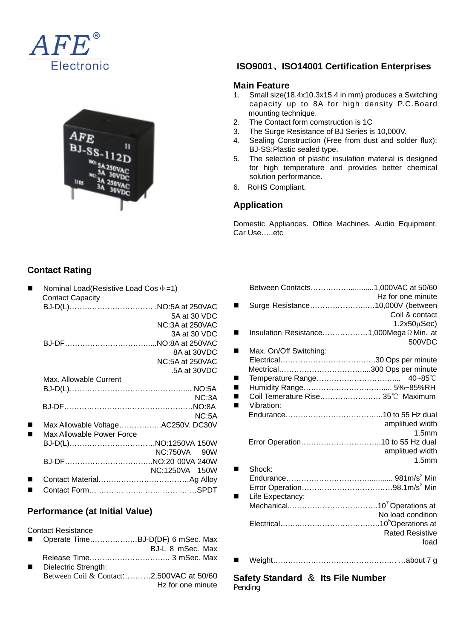



## **ISO9001**、**ISO14001 Certification Enterprises**

#### **Main Feature**

- 1. Small size(18.4x10.3x15.4 in mm) produces a Switching capacity up to 8A for high density P.C.Board mounting technique.
- 2. The Contact form comstruction is 1C<br>3. The Surge Resistance of BJ Series is
- 3. The Surge Resistance of BJ Series is 10,000V.<br>4. Sealing Construction (Free from dust and sold
- Sealing Construction (Free from dust and solder flux): BJ-SS:Plastic sealed type.
- 5. The selection of plastic insulation material is designed for high temperature and provides better chemical solution performance.
- 6. RoHS Compliant.

### **Application**

Domestic Appliances. Office Machines. Audio Equipment. Car Use…..etc

### **Contact Rating**

| Nominal Load(Resistive Load Cos $\Phi$ =1)<br><b>Contact Capacity</b> |                 |  |  |  |  |
|-----------------------------------------------------------------------|-----------------|--|--|--|--|
|                                                                       |                 |  |  |  |  |
|                                                                       | 5A at 30 VDC    |  |  |  |  |
|                                                                       | NC:3A at 250VAC |  |  |  |  |
|                                                                       | 3A at 30 VDC    |  |  |  |  |
|                                                                       |                 |  |  |  |  |
|                                                                       | 8A at 30VDC     |  |  |  |  |
|                                                                       | NC:5A at 250VAC |  |  |  |  |
|                                                                       | .5A at 30VDC    |  |  |  |  |
| Max. Allowable Current                                                |                 |  |  |  |  |
|                                                                       |                 |  |  |  |  |
|                                                                       | NC:3A           |  |  |  |  |
|                                                                       |                 |  |  |  |  |
|                                                                       | NC:5A           |  |  |  |  |
| Max Allowable VoltageAC250V. DC30V                                    |                 |  |  |  |  |
| Max Allowable Power Force                                             |                 |  |  |  |  |
|                                                                       |                 |  |  |  |  |
|                                                                       | NC:750VA 90W    |  |  |  |  |
|                                                                       |                 |  |  |  |  |
|                                                                       | NC:1250VA 150W  |  |  |  |  |
|                                                                       |                 |  |  |  |  |
|                                                                       |                 |  |  |  |  |

### **Performance (at Initial Value)**

Contact Resistance

|                      | BJ-L 8 mSec. Max                         |
|----------------------|------------------------------------------|
|                      |                                          |
| Dielectric Strength: |                                          |
|                      | Between Coil & Contact:2,500VAC at 50/60 |
|                      | Hz for one minute                        |

|                        | Between Contacts1,000VAC at 50/60        |
|------------------------|------------------------------------------|
|                        | Hz for one minute                        |
|                        | Surge Resistance10,000V (between         |
|                        | Coil & contact                           |
|                        | $1.2x50\mu$ Sec)                         |
|                        | Insulation Resistance1,000Mega Ω Min. at |
|                        | 500VDC                                   |
| Max. On/Off Switching: |                                          |
|                        |                                          |
|                        |                                          |
|                        |                                          |
|                        |                                          |
|                        |                                          |
|                        | Coil Temerature Rise 35°C Maximum        |
| Vibration:             |                                          |
|                        |                                          |
|                        | amplitued width                          |
|                        | 1.5 <sub>mm</sub>                        |
|                        |                                          |
|                        | amplitued width                          |
|                        | 1.5 <sub>mm</sub>                        |
| Shock:                 |                                          |
|                        |                                          |
|                        |                                          |
| Life Expectancy:       |                                          |
|                        |                                          |
|                        | No load condition                        |
|                        |                                          |
|                        |                                          |
|                        | <b>Rated Resistive</b>                   |
|                        | load                                     |
|                        |                                          |
|                        |                                          |

**Safety Standard** & **Its File Number** 

Pending